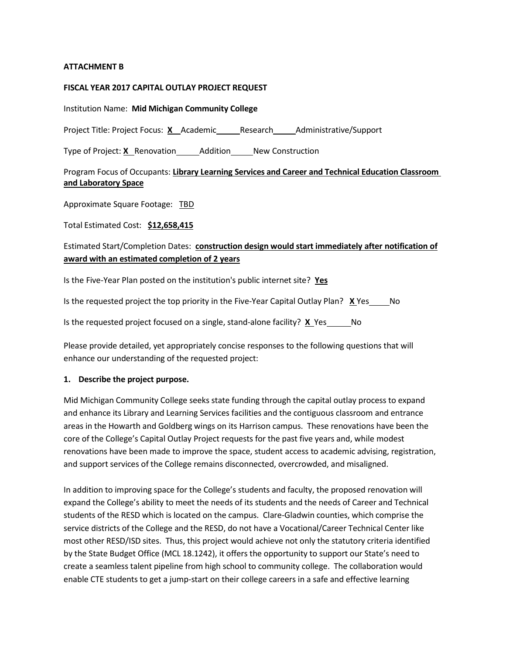#### **ATTACHMENT B**

#### **FISCAL YEAR 2017 CAPITAL OUTLAY PROJECT REQUEST**

Institution Name: **Mid Michigan Community College**

Project Title: Project Focus: X Academic Research Administrative/Support

Type of Project: **X** Renovation Addition New Construction

#### Program Focus of Occupants: **Library Learning Services and Career and Technical Education Classroom and Laboratory Space**

Approximate Square Footage: TBD

Total Estimated Cost: **\$12,658,415**

### Estimated Start/Completion Dates: **construction design would start immediately after notification of award with an estimated completion of 2 years**

Is the Five-Year Plan posted on the institution's public internet site? **Yes**

Is the requested project the top priority in the Five-Year Capital Outlay Plan? **X** Yes No

Is the requested project focused on a single, stand-alone facility? **X** Yes No

Please provide detailed, yet appropriately concise responses to the following questions that will enhance our understanding of the requested project:

#### **1. Describe the project purpose.**

Mid Michigan Community College seeks state funding through the capital outlay process to expand and enhance its Library and Learning Services facilities and the contiguous classroom and entrance areas in the Howarth and Goldberg wings on its Harrison campus. These renovations have been the core of the College's Capital Outlay Project requests for the past five years and, while modest renovations have been made to improve the space, student access to academic advising, registration, and support services of the College remains disconnected, overcrowded, and misaligned.

In addition to improving space for the College's students and faculty, the proposed renovation will expand the College's ability to meet the needs of its students and the needs of Career and Technical students of the RESD which is located on the campus. Clare-Gladwin counties, which comprise the service districts of the College and the RESD, do not have a Vocational/Career Technical Center like most other RESD/ISD sites. Thus, this project would achieve not only the statutory criteria identified by the State Budget Office (MCL 18.1242), it offers the opportunity to support our State's need to create a seamless talent pipeline from high school to community college. The collaboration would enable CTE students to get a jump-start on their college careers in a safe and effective learning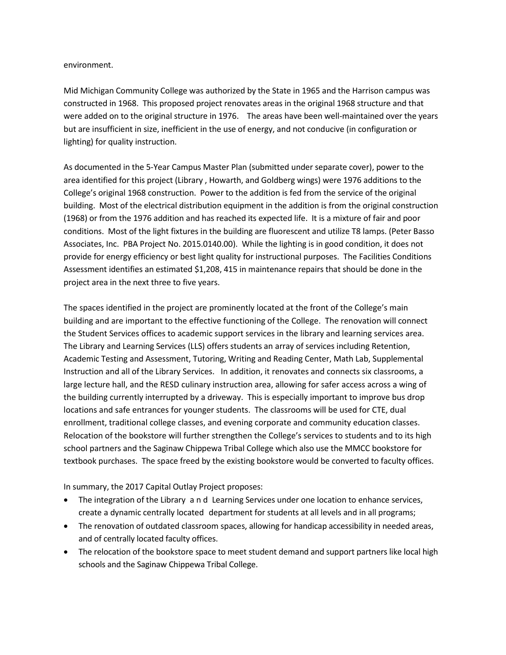environment.

Mid Michigan Community College was authorized by the State in 1965 and the Harrison campus was constructed in 1968. This proposed project renovates areas in the original 1968 structure and that were added on to the original structure in 1976. The areas have been well-maintained over the years but are insufficient in size, inefficient in the use of energy, and not conducive (in configuration or lighting) for quality instruction.

As documented in the 5-Year Campus Master Plan (submitted under separate cover), power to the area identified for this project (Library , Howarth, and Goldberg wings) were 1976 additions to the College's original 1968 construction. Power to the addition is fed from the service of the original building. Most of the electrical distribution equipment in the addition is from the original construction (1968) or from the 1976 addition and has reached its expected life. It is a mixture of fair and poor conditions. Most of the light fixtures in the building are fluorescent and utilize T8 lamps. (Peter Basso Associates, Inc. PBA Project No. 2015.0140.00). While the lighting is in good condition, it does not provide for energy efficiency or best light quality for instructional purposes. The Facilities Conditions Assessment identifies an estimated \$1,208, 415 in maintenance repairs that should be done in the project area in the next three to five years.

The spaces identified in the project are prominently located at the front of the College's main building and are important to the effective functioning of the College. The renovation will connect the Student Services offices to academic support services in the library and learning services area. The Library and Learning Services (LLS) offers students an array of services including Retention, Academic Testing and Assessment, Tutoring, Writing and Reading Center, Math Lab, Supplemental Instruction and all of the Library Services. In addition, it renovates and connects six classrooms, a large lecture hall, and the RESD culinary instruction area, allowing for safer access across a wing of the building currently interrupted by a driveway. This is especially important to improve bus drop locations and safe entrances for younger students. The classrooms will be used for CTE, dual enrollment, traditional college classes, and evening corporate and community education classes. Relocation of the bookstore will further strengthen the College's services to students and to its high school partners and the Saginaw Chippewa Tribal College which also use the MMCC bookstore for textbook purchases. The space freed by the existing bookstore would be converted to faculty offices.

In summary, the 2017 Capital Outlay Project proposes:

- The integration of the Library and Learning Services under one location to enhance services, create a dynamic centrally located department for students at all levels and in all programs;
- The renovation of outdated classroom spaces, allowing for handicap accessibility in needed areas, and of centrally located faculty offices.
- The relocation of the bookstore space to meet student demand and support partners like local high schools and the Saginaw Chippewa Tribal College.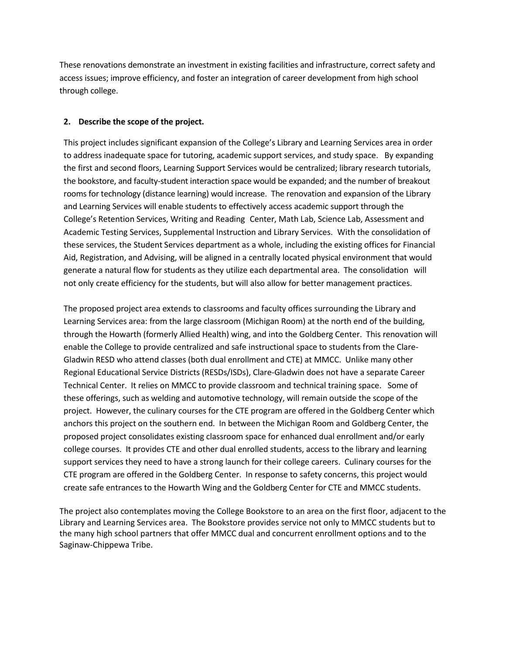These renovations demonstrate an investment in existing facilities and infrastructure, correct safety and access issues; improve efficiency, and foster an integration of career development from high school through college.

#### **2. Describe the scope of the project.**

This project includes significant expansion of the College's Library and Learning Services area in order to address inadequate space for tutoring, academic support services, and study space. By expanding the first and second floors, Learning Support Services would be centralized; library research tutorials, the bookstore, and faculty-student interaction space would be expanded; and the number of breakout rooms for technology (distance learning) would increase. The renovation and expansion of the Library and Learning Services will enable students to effectively access academic support through the College's Retention Services, Writing and Reading Center, Math Lab, Science Lab, Assessment and Academic Testing Services, Supplemental Instruction and Library Services. With the consolidation of these services, the Student Services department as a whole, including the existing offices for Financial Aid, Registration, and Advising, will be aligned in a centrally located physical environment that would generate a natural flow for students as they utilize each departmental area. The consolidation will not only create efficiency for the students, but will also allow for better management practices.

The proposed project area extends to classrooms and faculty offices surrounding the Library and Learning Services area: from the large classroom (Michigan Room) at the north end of the building, through the Howarth (formerly Allied Health) wing, and into the Goldberg Center. This renovation will enable the College to provide centralized and safe instructional space to students from the Clare-Gladwin RESD who attend classes (both dual enrollment and CTE) at MMCC. Unlike many other Regional Educational Service Districts (RESDs/ISDs), Clare-Gladwin does not have a separate Career Technical Center. It relies on MMCC to provide classroom and technical training space. Some of these offerings, such as welding and automotive technology, will remain outside the scope of the project. However, the culinary courses for the CTE program are offered in the Goldberg Center which anchors this project on the southern end. In between the Michigan Room and Goldberg Center, the proposed project consolidates existing classroom space for enhanced dual enrollment and/or early college courses. It provides CTE and other dual enrolled students, access to the library and learning support services they need to have a strong launch for their college careers. Culinary courses for the CTE program are offered in the Goldberg Center. In response to safety concerns, this project would create safe entrances to the Howarth Wing and the Goldberg Center for CTE and MMCC students.

The project also contemplates moving the College Bookstore to an area on the first floor, adjacent to the Library and Learning Services area. The Bookstore provides service not only to MMCC students but to the many high school partners that offer MMCC dual and concurrent enrollment options and to the Saginaw-Chippewa Tribe.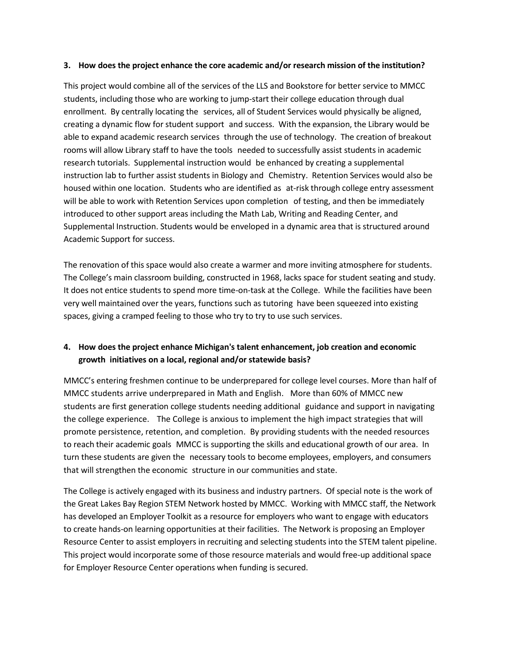#### **3. How does the project enhance the core academic and/or research mission of the institution?**

This project would combine all of the services of the LLS and Bookstore for better service to MMCC students, including those who are working to jump-start their college education through dual enrollment. By centrally locating the services, all of Student Services would physically be aligned, creating a dynamic flow for student support and success. With the expansion, the Library would be able to expand academic research services through the use of technology. The creation of breakout rooms will allow Library staff to have the tools needed to successfully assist students in academic research tutorials. Supplemental instruction would be enhanced by creating a supplemental instruction lab to further assist students in Biology and Chemistry. Retention Services would also be housed within one location. Students who are identified as at-risk through college entry assessment will be able to work with Retention Services upon completion of testing, and then be immediately introduced to other support areas including the Math Lab, Writing and Reading Center, and Supplemental Instruction. Students would be enveloped in a dynamic area that is structured around Academic Support for success.

The renovation of this space would also create a warmer and more inviting atmosphere for students. The College's main classroom building, constructed in 1968, lacks space for student seating and study. It does not entice students to spend more time-on-task at the College. While the facilities have been very well maintained over the years, functions such as tutoring have been squeezed into existing spaces, giving a cramped feeling to those who try to try to use such services.

## **4. How does the project enhance Michigan's talent enhancement, job creation and economic growth initiatives on a local, regional and/or statewide basis?**

MMCC's entering freshmen continue to be underprepared for college level courses. More than half of MMCC students arrive underprepared in Math and English. More than 60% of MMCC new students are first generation college students needing additional guidance and support in navigating the college experience. The College is anxious to implement the high impact strategies that will promote persistence, retention, and completion. By providing students with the needed resources to reach their academic goals MMCC is supporting the skills and educational growth of our area. In turn these students are given the necessary tools to become employees, employers, and consumers that will strengthen the economic structure in our communities and state.

The College is actively engaged with its business and industry partners. Of special note is the work of the Great Lakes Bay Region STEM Network hosted by MMCC. Working with MMCC staff, the Network has developed an Employer Toolkit as a resource for employers who want to engage with educators to create hands-on learning opportunities at their facilities. The Network is proposing an Employer Resource Center to assist employers in recruiting and selecting students into the STEM talent pipeline. This project would incorporate some of those resource materials and would free-up additional space for Employer Resource Center operations when funding is secured.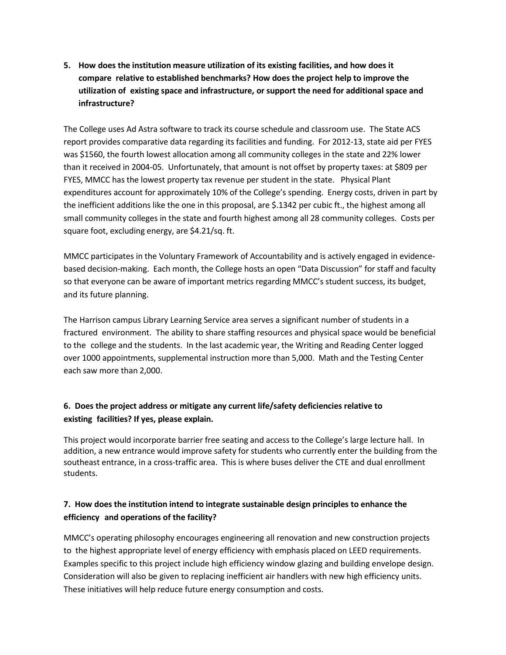**5. How does the institution measure utilization of its existing facilities, and how does it compare relative to established benchmarks? How does the project help to improve the utilization of existing space and infrastructure, or support the need for additional space and infrastructure?**

The College uses Ad Astra software to track its course schedule and classroom use. The State ACS report provides comparative data regarding its facilities and funding. For 2012-13, state aid per FYES was \$1560, the fourth lowest allocation among all community colleges in the state and 22% lower than it received in 2004-05. Unfortunately, that amount is not offset by property taxes: at \$809 per FYES, MMCC has the lowest property tax revenue per student in the state. Physical Plant expenditures account for approximately 10% of the College's spending. Energy costs, driven in part by the inefficient additions like the one in this proposal, are \$.1342 per cubic ft., the highest among all small community colleges in the state and fourth highest among all 28 community colleges. Costs per square foot, excluding energy, are \$4.21/sq. ft.

MMCC participates in the Voluntary Framework of Accountability and is actively engaged in evidencebased decision-making. Each month, the College hosts an open "Data Discussion" for staff and faculty so that everyone can be aware of important metrics regarding MMCC's student success, its budget, and its future planning.

The Harrison campus Library Learning Service area serves a significant number of students in a fractured environment. The ability to share staffing resources and physical space would be beneficial to the college and the students. In the last academic year, the Writing and Reading Center logged over 1000 appointments, supplemental instruction more than 5,000. Math and the Testing Center each saw more than 2,000.

# **6. Does the project address or mitigate any current life/safety deficiencies relative to existing facilities? If yes, please explain.**

This project would incorporate barrier free seating and access to the College's large lecture hall. In addition, a new entrance would improve safety for students who currently enter the building from the southeast entrance, in a cross-traffic area. This is where buses deliver the CTE and dual enrollment students.

## **7. How does the institution intend to integrate sustainable design principles to enhance the efficiency and operations of the facility?**

MMCC's operating philosophy encourages engineering all renovation and new construction projects to the highest appropriate level of energy efficiency with emphasis placed on LEED requirements. Examples specific to this project include high efficiency window glazing and building envelope design. Consideration will also be given to replacing inefficient air handlers with new high efficiency units. These initiatives will help reduce future energy consumption and costs.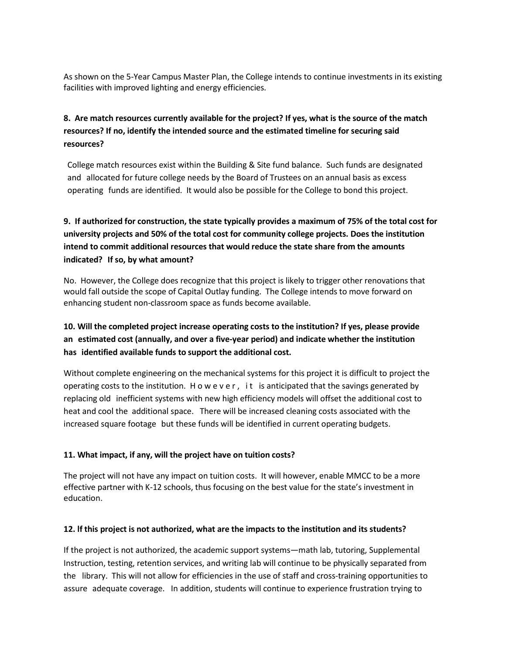As shown on the 5-Year Campus Master Plan, the College intends to continue investments in its existing facilities with improved lighting and energy efficiencies.

# **8. Are match resources currently available for the project? If yes, what is the source of the match resources? If no, identify the intended source and the estimated timeline for securing said resources?**

College match resources exist within the Building & Site fund balance. Such funds are designated and allocated for future college needs by the Board of Trustees on an annual basis as excess operating funds are identified. It would also be possible for the College to bond this project.

# **9. If authorized for construction, the state typically provides a maximum of 75% of the total cost for university projects and 50% of the total cost for community college projects. Does the institution intend to commit additional resources that would reduce the state share from the amounts indicated? If so, by what amount?**

No. However, the College does recognize that this project is likely to trigger other renovations that would fall outside the scope of Capital Outlay funding. The College intends to move forward on enhancing student non-classroom space as funds become available.

# **10. Will the completed project increase operating costs to the institution? If yes, please provide an estimated cost (annually, and over a five-year period) and indicate whether the institution has identified available funds to support the additional cost.**

Without complete engineering on the mechanical systems for this project it is difficult to project the operating costs to the institution. H o w e v e r , i t is anticipated that the savings generated by replacing old inefficient systems with new high efficiency models will offset the additional cost to heat and cool the additional space. There will be increased cleaning costs associated with the increased square footage but these funds will be identified in current operating budgets.

### **11. What impact, if any, will the project have on tuition costs?**

The project will not have any impact on tuition costs. It will however, enable MMCC to be a more effective partner with K-12 schools, thus focusing on the best value for the state's investment in education.

### **12. lf this project is not authorized, what are the impacts to the institution and its students?**

If the project is not authorized, the academic support systems—math lab, tutoring, Supplemental Instruction, testing, retention services, and writing lab will continue to be physically separated from the library. This will not allow for efficiencies in the use of staff and cross-training opportunities to assure adequate coverage. In addition, students will continue to experience frustration trying to